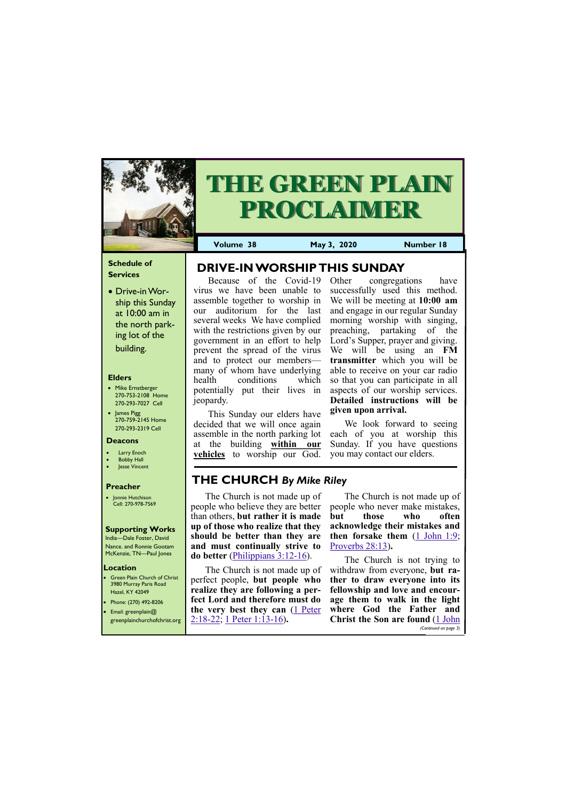## **Schedule of Services**

• Drive-in Worship this Sunday at 10:00 am in the north parking lot of the building.

## **Elders**

**Green Plain Church of Christ** 3980 Murray Paris Road Hazel, KY 42049 • Phone: (270) 492-8206

- Mike Ernstberger 270-753-2108 Home 270-293-7027 Cell
- James Pigg 270-759-2145 Home 270-293-2319 Cell



# **THE GREEN PLAIN PROCLAIMER**

## **Location**

**Volume 38 May 3, 2020 Number 18**

#### **Deacons**

- **Larry Enoch**
- **Bobby Hall**
- **Jesse Vincent**

## **Preacher**

• Jonnie Hutchison Cell: 270-978-7569

## **Supporting Works**

India—Dale Foster, David Nance. and Ronnie Gootam McKenzie, TN—Paul Jones

Because of the Covid-19 virus we have been unable to assemble together to worship in our auditorium for the last several weeks We have complied with the restrictions given by our government in an effort to help prevent the spread of the virus and to protect our members many of whom have underlying health conditions which potentially put their lives in jeopardy.

This Sunday our elders have decided that we will once again assemble in the north parking lot at the building **within our vehicles** to worship our God. Other congregations have successfully used this method. We will be meeting at **10:00 am**  and engage in our regular Sunday morning worship with singing, preaching, partaking of the Lord's Supper, prayer and giving. We will be using an **FM transmitter** which you will be able to receive on your car radio so that you can participate in all aspects of our worship services. **Detailed instructions will be given upon arrival.** 

| Email: greenplain@ | the very best they can (1 Peter where God the Father and     |                                           |
|--------------------|--------------------------------------------------------------|-------------------------------------------|
|                    | greenplainchurchofchrist.org   $2:18-22$ ; 1 Peter 1:13-16). | <b>Christ the Son are found (1 John</b> ) |
|                    |                                                              | (Continued on page 3)                     |

We look forward to seeing each of you at worship this Sunday. If you have questions you may contact our elders.

**DRIVE-IN WORSHIP THIS SUNDAY**

# **THE CHURCH** *By Mike Riley*

The Church is not made up of people who believe they are better than others, **but rather it is made up of those who realize that they should be better than they are and must continually strive to do better** [\(Philippians 3:12](https://biblia.com/bible/kjv1900/Phil%203.12-16)-16).

The Church is not made up of perfect people, **but people who realize they are following a perfect Lord and therefore must do** 

The Church is not made up of people who never make mistakes, **but those who often acknowledge their mistakes and then forsake them** [\(1 John 1:9;](https://biblia.com/bible/kjv1900/1%20John%201.9) [Proverbs 28:13\)](https://biblia.com/bible/kjv1900/Prov%2028.13)**.**

The Church is not trying to withdraw from everyone, **but rather to draw everyone into its fellowship and love and encourage them to walk in the light**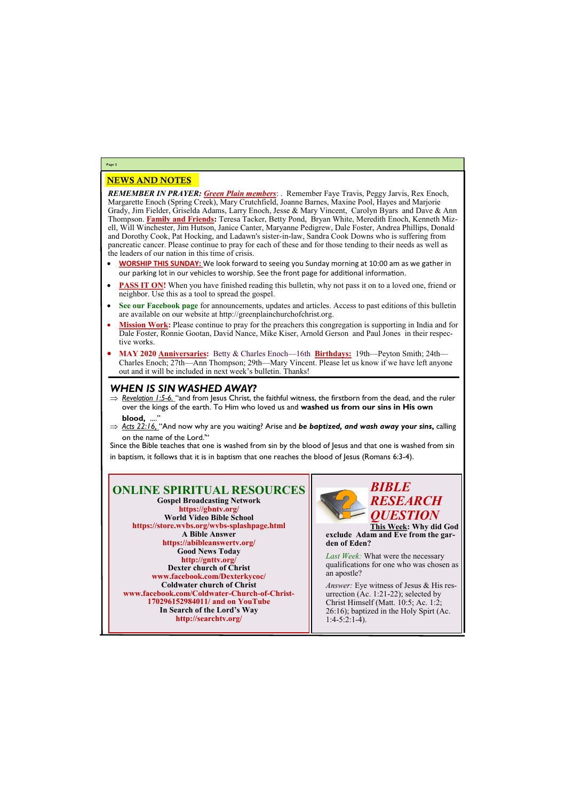# NEWS AND NOTES

*REMEMBER IN PRAYER: Green Plain members*: . Remember Faye Travis, Peggy Jarvis, Rex Enoch, Margarette Enoch (Spring Creek), Mary Crutchfield, Joanne Barnes, Maxine Pool, Hayes and Marjorie Grady, Jim Fielder, Griselda Adams, Larry Enoch, Jesse & Mary Vincent, Carolyn Byars and Dave & Ann Thompson. **Family and Friends:** Teresa Tacker, Betty Pond, Bryan White, Meredith Enoch, Kenneth Mizell, Will Winchester, Jim Hutson, Janice Canter, Maryanne Pedigrew, Dale Foster, Andrea Phillips, Donald and Dorothy Cook, Pat Hocking, and Ladawn's sister-in-law, Sandra Cook Downs who is suffering from pancreatic cancer. Please continue to pray for each of these and for those tending to their needs as well as the leaders of our nation in this time of crisis.

> Last Week: What were the necessary qualifications for one who was chosen as an apostle?

- **WORSHIP THIS SUNDAY:** We look forward to seeing you Sunday morning at 10:00 am as we gather in our parking lot in our vehicles to worship. See the front page for additional information.
- **PASS IT ON!** When you have finished reading this bulletin, why not pass it on to a loved one, friend or neighbor. Use this as a tool to spread the gospel.
- **See our Facebook page** for announcements, updates and articles. Access to past editions of this bulletin are available on our website at http://greenplainchurchofchrist.org.
- **Mission Work:** Please continue to pray for the preachers this congregation is supporting in India and for Dale Foster, Ronnie Gootan, David Nance, Mike Kiser, Arnold Gerson and Paul Jones in their respective works.
- **MAY 2020 Anniversaries:** Betty & Charles Enoch—16th **Birthdays:** 19th—Peyton Smith; 24th— Charles Enoch; 27th—Ann Thompson; 29th—Mary Vincent. Please let us know if we have left anyone out and it will be included in next week's bulletin. Thanks!

- ⇒ Revelation 1:5-6. "and from Jesus Christ, the faithful witness, the firstborn from the dead, and the ruler over the kings of the earth. To Him who loved us and **washed us from our sins in His own**  blood, ...."
- *Acts 22:16,* "And now why are you waiting? Arise and *be baptized, and wash away your sins***,** calling on the name of the Lord.'"

# **Page 2**

## **ONLINE SPIRITUAL RESOURCES Gospel Broadcasting Network https://gbntv.org/ World Video Bible School https://store.wvbs.org/wvbs-splashpage.html A Bible Answer https://abibleanswertv.org/ Good News Today http://gnttv.org/ Dexter church of Christ www.facebook.com/Dexterkycoc/ Coldwater church of Christ www.facebook.com/Coldwater-Church-of-Christ-170296152984011/ and on YouTube**

**In Search of the Lord's Way http://searchtv.org/**



**This Week: Why did God exclude Adam and Eve from the garden of Eden?**

*Answer:* Eye witness of Jesus & His resurrection (Ac. 1:21-22); selected by Christ Himself (Matt. 10:5; Ac. 1:2;

26:16); baptized in the Holy Spirt (Ac. 1:4-5:2:1-4).

# *WHEN IS SIN WASHED AWAY?*

Since the Bible teaches that one is washed from sin by the blood of Jesus and that one is washed from sin in baptism, it follows that it is in baptism that one reaches the blood of Jesus (Romans 6:3-4).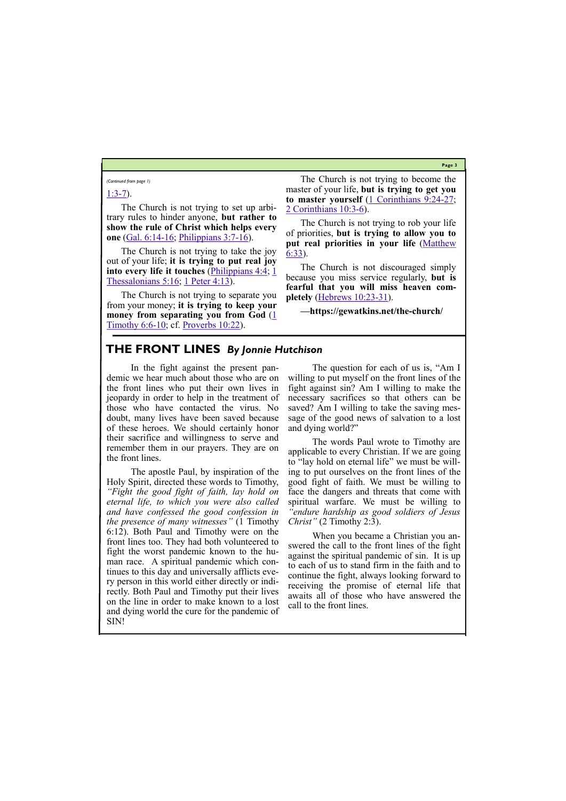**Page 3**

# [1:3](https://biblia.com/bible/kjv1900/1%20John%201.3-7)-7).

The Church is not trying to set up arbitrary rules to hinder anyone, **but rather to show the rule of Christ which helps every one** ([Gal. 6:14](https://biblia.com/bible/kjv1900/Gal.%206.14-16)-16; [Philippians 3:7](https://biblia.com/bible/kjv1900/Phil%203.7-16)-16).

The Church is not trying to separate you from your money; **it is trying to keep your money from separating you from God** (1) [Timothy 6:6](https://biblia.com/bible/kjv1900/1%20Tim%206.6-10)-10; cf. <u>Proverbs 10:22</u>).

The Church is not trying to take the joy out of your life; **it is trying to put real joy into every life it touches** [\(Philippians 4:4;](https://biblia.com/bible/kjv1900/Phil%204.4) [1](https://biblia.com/bible/kjv1900/1%20Thess%205.16)  [Thessalonians 5:16;](https://biblia.com/bible/kjv1900/1%20Thess%205.16) [1 Peter 4:13\)](https://biblia.com/bible/kjv1900/1%20Pet%204.13).

The Church is not trying to become the master of your life, **but is trying to get you to master yourself** ([1 Corinthians 9:24](https://biblia.com/bible/kjv1900/1%20Cor%209.24-27)-27; [2 Corinthians 10:3](https://biblia.com/bible/kjv1900/2%20Cor%2010.3-6)-6).

The Church is not trying to rob your life of priorities, **but is trying to allow you to put real priorities in your life** [\(Matthew](https://biblia.com/bible/kjv1900/Matt%206.33)  [6:33\)](https://biblia.com/bible/kjv1900/Matt%206.33).

The Church is not discouraged simply because you miss service regularly, **but is fearful that you will miss heaven completely** [\(Hebrews 10:23](https://biblia.com/bible/kjv1900/Heb%2010.23-31)-31).

**—https://gewatkins.net/the-church/**

*(Continued from page 1)*

# **THE FRONT LINES** *By Jonnie Hutchison*

In the fight against the present pandemic we hear much about those who are on the front lines who put their own lives in jeopardy in order to help in the treatment of those who have contacted the virus. No doubt, many lives have been saved because of these heroes. We should certainly honor their sacrifice and willingness to serve and remember them in our prayers. They are on the front lines.

The apostle Paul, by inspiration of the Holy Spirit, directed these words to Timothy, *"Fight the good fight of faith, lay hold on eternal life, to which you were also called and have confessed the good confession in the presence of many witnesses"* (1 Timothy 6:12). Both Paul and Timothy were on the front lines too. They had both volunteered to fight the worst pandemic known to the human race. A spiritual pandemic which continues to this day and universally afflicts every person in this world either directly or indirectly. Both Paul and Timothy put their lives on the line in order to make known to a lost

The question for each of us is, "Am I willing to put myself on the front lines of the fight against sin? Am I willing to make the necessary sacrifices so that others can be saved? Am I willing to take the saving message of the good news of salvation to a lost and dying world?"

The words Paul wrote to Timothy are applicable to every Christian. If we are going to "lay hold on eternal life" we must be willing to put ourselves on the front lines of the good fight of faith. We must be willing to face the dangers and threats that come with spiritual warfare. We must be willing to *"endure hardship as good soldiers of Jesus Christ"* (2 Timothy 2:3).

and dying world the cure for the pandemic of SIN! call to the front lines.

When you became a Christian you answered the call to the front lines of the fight against the spiritual pandemic of sin. It is up to each of us to stand firm in the faith and to continue the fight, always looking forward to receiving the promise of eternal life that awaits all of those who have answered the